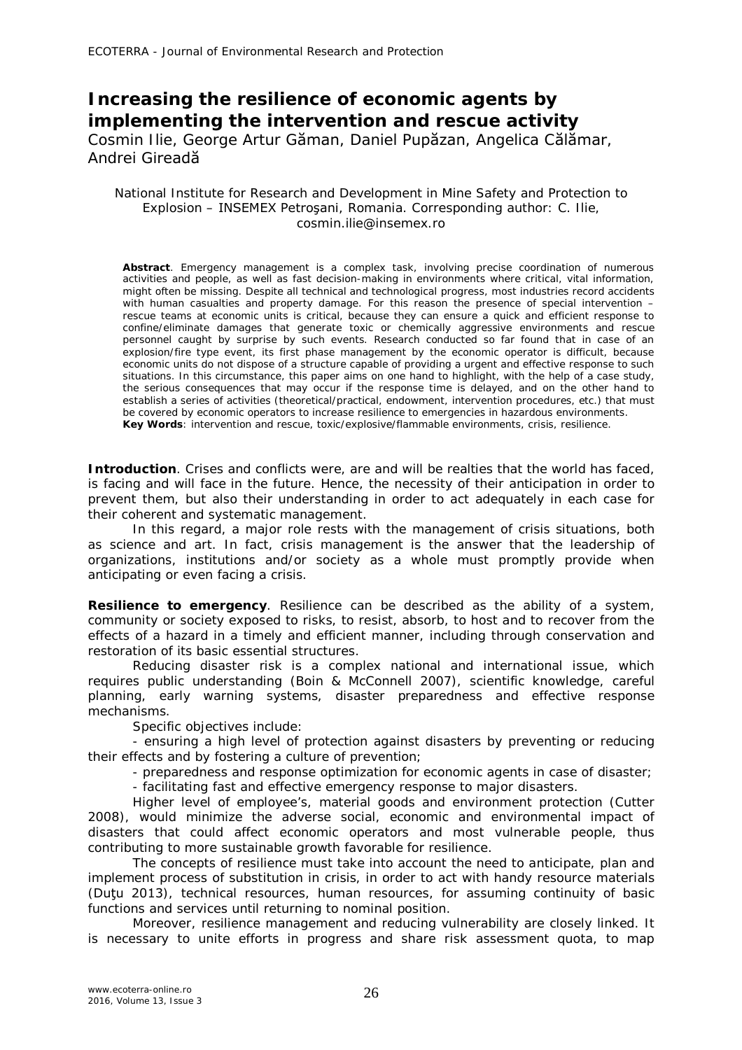# **Increasing the resilience of economic agents by implementing the intervention and rescue activity**  Cosmin Ilie, George Artur Găman, Daniel Pupăzan, Angelica Călămar, Andrei Gireadă

### National Institute for Research and Development in Mine Safety and Protection to Explosion – INSEMEX Petroşani, Romania. Corresponding author: C. Ilie, cosmin.ilie@insemex.ro

**Abstract**. Emergency management is a complex task, involving precise coordination of numerous activities and people, as well as fast decision-making in environments where critical, vital information, might often be missing. Despite all technical and technological progress, most industries record accidents with human casualties and property damage. For this reason the presence of special intervention – rescue teams at economic units is critical, because they can ensure a quick and efficient response to confine/eliminate damages that generate toxic or chemically aggressive environments and rescue personnel caught by surprise by such events. Research conducted so far found that in case of an explosion/fire type event, its first phase management by the economic operator is difficult, because economic units do not dispose of a structure capable of providing a urgent and effective response to such situations. In this circumstance, this paper aims on one hand to highlight, with the help of a case study, the serious consequences that may occur if the response time is delayed, and on the other hand to establish a series of activities (theoretical/practical, endowment, intervention procedures, etc.) that must be covered by economic operators to increase resilience to emergencies in hazardous environments. **Key Words**: intervention and rescue, toxic/explosive/flammable environments, crisis, resilience.

**Introduction**. Crises and conflicts were, are and will be realties that the world has faced, is facing and will face in the future. Hence, the necessity of their anticipation in order to prevent them, but also their understanding in order to act adequately in each case for their coherent and systematic management.

In this regard, a major role rests with the management of crisis situations, both as science and art. In fact, crisis management is the answer that the leadership of organizations, institutions and/or society as a whole must promptly provide when anticipating or even facing a crisis.

**Resilience to emergency**. Resilience can be described as the ability of a system, community or society exposed to risks, to resist, absorb, to host and to recover from the effects of a hazard in a timely and efficient manner, including through conservation and restoration of its basic essential structures.

Reducing disaster risk is a complex national and international issue, which requires public understanding (Boin & McConnell 2007), scientific knowledge, careful planning, early warning systems, disaster preparedness and effective response mechanisms.

Specific objectives include:

- ensuring a high level of protection against disasters by preventing or reducing their effects and by fostering a culture of prevention;

- preparedness and response optimization for economic agents in case of disaster;

- facilitating fast and effective emergency response to major disasters.

Higher level of employee's, material goods and environment protection (Cutter 2008), would minimize the adverse social, economic and environmental impact of disasters that could affect economic operators and most vulnerable people, thus contributing to more sustainable growth favorable for resilience.

The concepts of resilience must take into account the need to anticipate, plan and implement process of substitution in crisis, in order to act with handy resource materials (Duţu 2013), technical resources, human resources, for assuming continuity of basic functions and services until returning to nominal position.

Moreover, resilience management and reducing vulnerability are closely linked. It is necessary to unite efforts in progress and share risk assessment quota, to map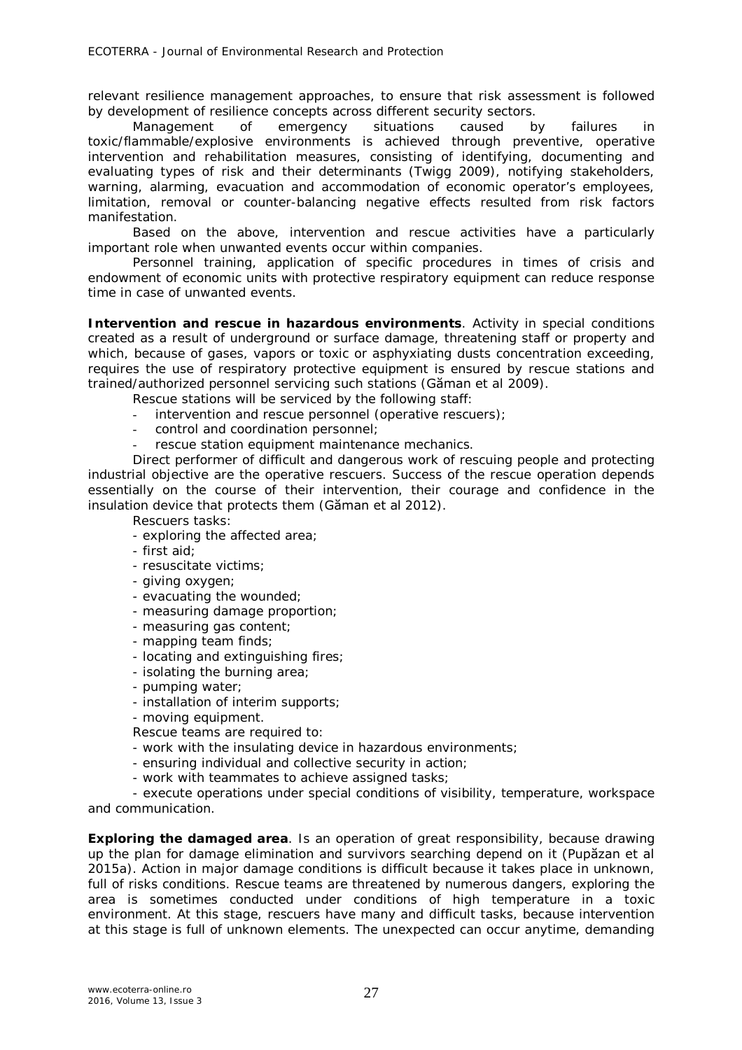relevant resilience management approaches, to ensure that risk assessment is followed by development of resilience concepts across different security sectors.

Management of emergency situations caused by failures in toxic/flammable/explosive environments is achieved through preventive, operative intervention and rehabilitation measures, consisting of identifying, documenting and evaluating types of risk and their determinants (Twigg 2009), notifying stakeholders, warning, alarming, evacuation and accommodation of economic operator's employees, limitation, removal or counter-balancing negative effects resulted from risk factors manifestation.

Based on the above, intervention and rescue activities have a particularly important role when unwanted events occur within companies.

Personnel training, application of specific procedures in times of crisis and endowment of economic units with protective respiratory equipment can reduce response time in case of unwanted events.

**Intervention and rescue in hazardous environments**. Activity in special conditions created as a result of underground or surface damage, threatening staff or property and which, because of gases, vapors or toxic or asphyxiating dusts concentration exceeding, requires the use of respiratory protective equipment is ensured by rescue stations and trained/authorized personnel servicing such stations (Găman et al 2009).

Rescue stations will be serviced by the following staff:

- intervention and rescue personnel (operative rescuers);
- control and coordination personnel;
- rescue station equipment maintenance mechanics.

Direct performer of difficult and dangerous work of rescuing people and protecting industrial objective are the operative rescuers. Success of the rescue operation depends essentially on the course of their intervention, their courage and confidence in the insulation device that protects them (Găman et al 2012).

#### Rescuers tasks:

- exploring the affected area;
- first aid;
- resuscitate victims;
- giving oxygen;
- evacuating the wounded;
- measuring damage proportion;
- measuring gas content;
- mapping team finds;
- locating and extinguishing fires;
- isolating the burning area;
- pumping water;
- installation of interim supports;
- moving equipment.

Rescue teams are required to:

- work with the insulating device in hazardous environments;
- ensuring individual and collective security in action;
- work with teammates to achieve assigned tasks;

- execute operations under special conditions of visibility, temperature, workspace and communication.

**Exploring the damaged area**. Is an operation of great responsibility, because drawing up the plan for damage elimination and survivors searching depend on it (Pupăzan et al 2015a). Action in major damage conditions is difficult because it takes place in unknown, full of risks conditions. Rescue teams are threatened by numerous dangers, exploring the area is sometimes conducted under conditions of high temperature in a toxic environment. At this stage, rescuers have many and difficult tasks, because intervention at this stage is full of unknown elements. The unexpected can occur anytime, demanding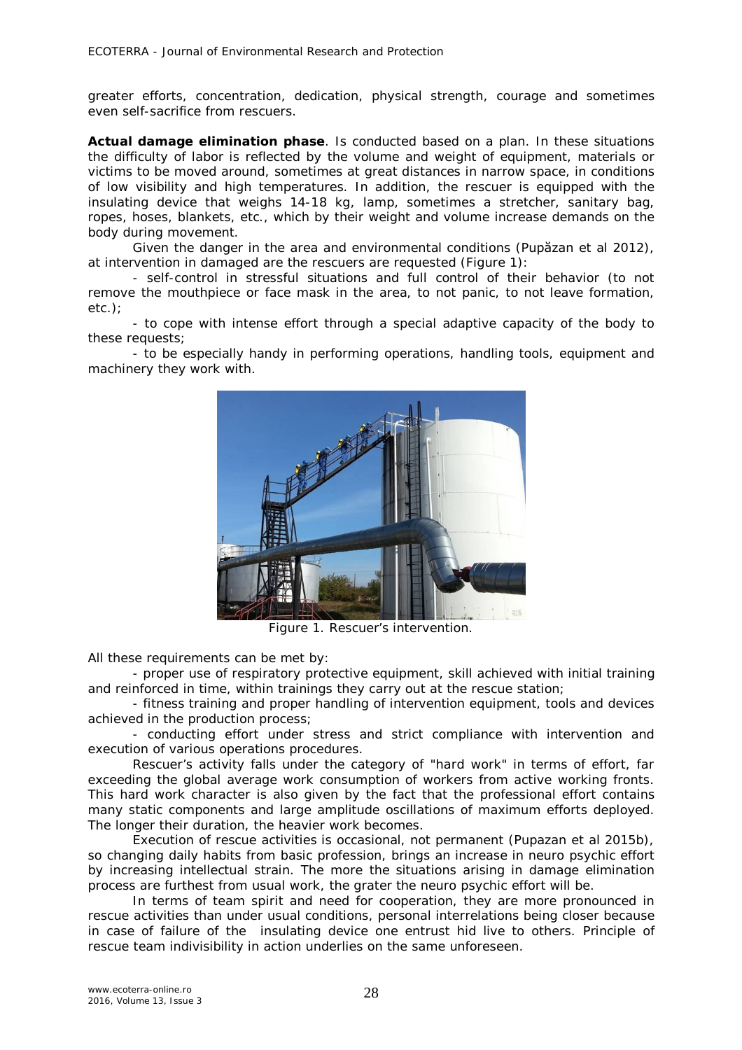greater efforts, concentration, dedication, physical strength, courage and sometimes even self-sacrifice from rescuers.

*Actual damage elimination phase.* Is conducted based on a plan. In these situations the difficulty of labor is reflected by the volume and weight of equipment, materials or victims to be moved around, sometimes at great distances in narrow space, in conditions of low visibility and high temperatures. In addition, the rescuer is equipped with the insulating device that weighs 14-18 kg, lamp, sometimes a stretcher, sanitary bag, ropes, hoses, blankets, etc., which by their weight and volume increase demands on the body during movement.

Given the danger in the area and environmental conditions (Pupăzan et al 2012), at intervention in damaged are the rescuers are requested (Figure 1):

- self-control in stressful situations and full control of their behavior (to not remove the mouthpiece or face mask in the area, to not panic, to not leave formation, etc.);

- to cope with intense effort through a special adaptive capacity of the body to these requests;

- to be especially handy in performing operations, handling tools, equipment and machinery they work with.



Figure 1. Rescuer's intervention.

All these requirements can be met by:

- proper use of respiratory protective equipment, skill achieved with initial training and reinforced in time, within trainings they carry out at the rescue station;

- fitness training and proper handling of intervention equipment, tools and devices achieved in the production process;

- conducting effort under stress and strict compliance with intervention and execution of various operations procedures.

Rescuer's activity falls under the category of "hard work" in terms of effort, far exceeding the global average work consumption of workers from active working fronts. This hard work character is also given by the fact that the professional effort contains many static components and large amplitude oscillations of maximum efforts deployed. The longer their duration, the heavier work becomes.

Execution of rescue activities is occasional, not permanent (Pupazan et al 2015b), so changing daily habits from basic profession, brings an increase in neuro psychic effort by increasing intellectual strain. The more the situations arising in damage elimination process are furthest from usual work, the grater the neuro psychic effort will be.

In terms of team spirit and need for cooperation, they are more pronounced in rescue activities than under usual conditions, personal interrelations being closer because in case of failure of the insulating device one entrust hid live to others. Principle of rescue team indivisibility in action underlies on the same unforeseen.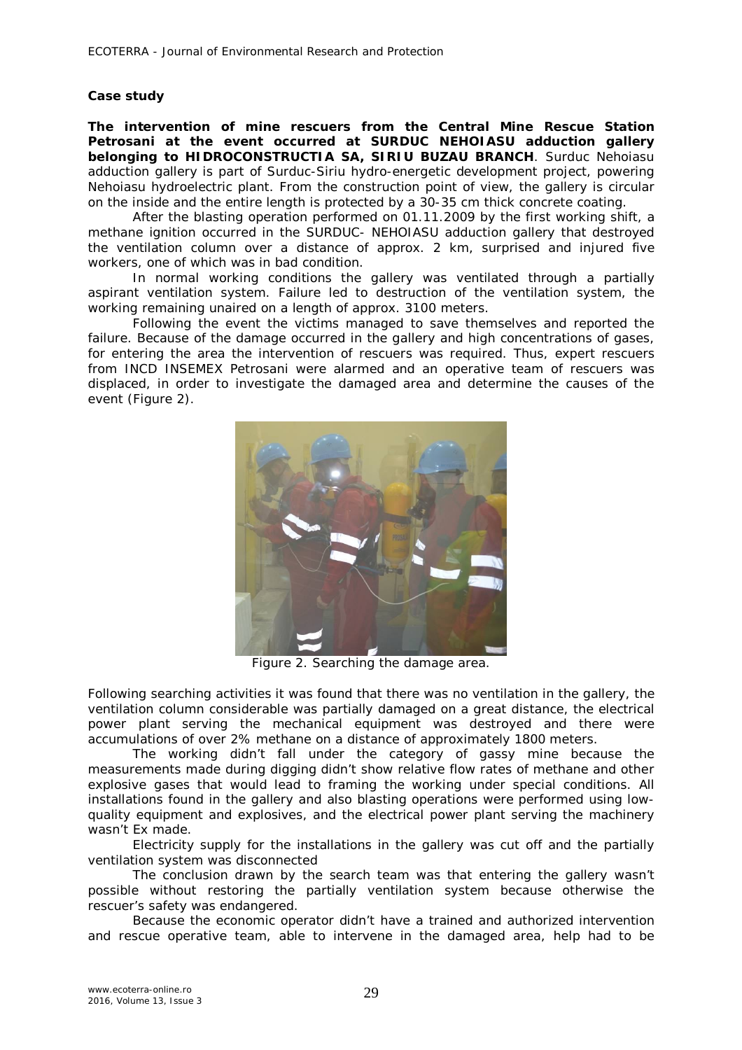# **Case study**

*The intervention of mine rescuers from the Central Mine Rescue Station Petrosani at the event occurred at SURDUC NEHOIASU adduction gallery belonging to HIDROCONSTRUCTIA SA, SIRIU BUZAU BRANCH.* Surduc Nehoiasu adduction gallery is part of Surduc-Siriu hydro-energetic development project, powering Nehoiasu hydroelectric plant. From the construction point of view, the gallery is circular on the inside and the entire length is protected by a 30-35 cm thick concrete coating.

After the blasting operation performed on 01.11.2009 by the first working shift, a methane ignition occurred in the SURDUC- NEHOIASU adduction gallery that destroyed the ventilation column over a distance of approx. 2 km, surprised and injured five workers, one of which was in bad condition.

In normal working conditions the gallery was ventilated through a partially aspirant ventilation system. Failure led to destruction of the ventilation system, the working remaining unaired on a length of approx. 3100 meters.

Following the event the victims managed to save themselves and reported the failure. Because of the damage occurred in the gallery and high concentrations of gases, for entering the area the intervention of rescuers was required. Thus, expert rescuers from INCD INSEMEX Petrosani were alarmed and an operative team of rescuers was displaced, in order to investigate the damaged area and determine the causes of the event (Figure 2).



Figure 2. Searching the damage area.

Following searching activities it was found that there was no ventilation in the gallery, the ventilation column considerable was partially damaged on a great distance, the electrical power plant serving the mechanical equipment was destroyed and there were accumulations of over 2% methane on a distance of approximately 1800 meters.

The working didn't fall under the category of gassy mine because the measurements made during digging didn't show relative flow rates of methane and other explosive gases that would lead to framing the working under special conditions. All installations found in the gallery and also blasting operations were performed using lowquality equipment and explosives, and the electrical power plant serving the machinery wasn't Ex made.

Electricity supply for the installations in the gallery was cut off and the partially ventilation system was disconnected

The conclusion drawn by the search team was that entering the gallery wasn't possible without restoring the partially ventilation system because otherwise the rescuer's safety was endangered.

Because the economic operator didn't have a trained and authorized intervention and rescue operative team, able to intervene in the damaged area, help had to be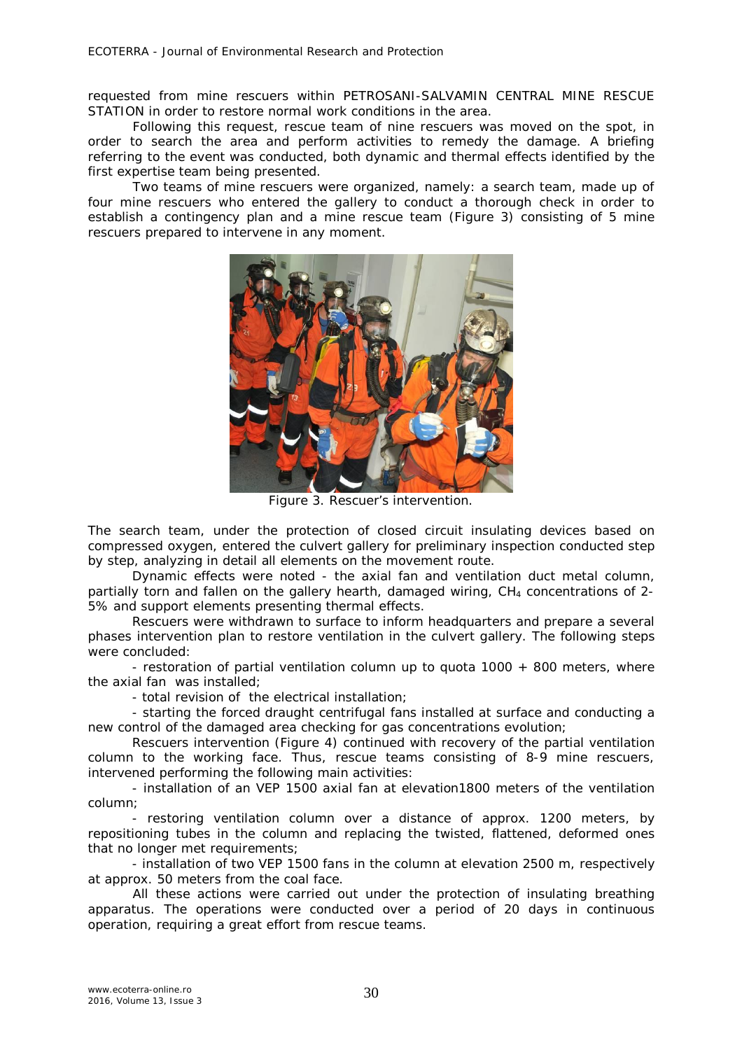requested from mine rescuers within PETROSANI-SALVAMIN CENTRAL MINE RESCUE STATION in order to restore normal work conditions in the area.

Following this request, rescue team of nine rescuers was moved on the spot, in order to search the area and perform activities to remedy the damage. A briefing referring to the event was conducted, both dynamic and thermal effects identified by the first expertise team being presented.

Two teams of mine rescuers were organized, namely: a search team, made up of four mine rescuers who entered the gallery to conduct a thorough check in order to establish a contingency plan and a mine rescue team (Figure 3) consisting of 5 mine rescuers prepared to intervene in any moment.



Figure 3. Rescuer's intervention.

The search team, under the protection of closed circuit insulating devices based on compressed oxygen, entered the culvert gallery for preliminary inspection conducted step by step, analyzing in detail all elements on the movement route.

Dynamic effects were noted - the axial fan and ventilation duct metal column, partially torn and fallen on the gallery hearth, damaged wiring,  $CH<sub>4</sub>$  concentrations of 2-5% and support elements presenting thermal effects.

Rescuers were withdrawn to surface to inform headquarters and prepare a several phases intervention plan to restore ventilation in the culvert gallery. The following steps were concluded:

- restoration of partial ventilation column up to quota 1000 + 800 meters, where the axial fan was installed;

- total revision of the electrical installation;

- starting the forced draught centrifugal fans installed at surface and conducting a new control of the damaged area checking for gas concentrations evolution;

Rescuers intervention (Figure 4) continued with recovery of the partial ventilation column to the working face. Thus, rescue teams consisting of 8-9 mine rescuers, intervened performing the following main activities:

- installation of an VEP 1500 axial fan at elevation1800 meters of the ventilation column;

- restoring ventilation column over a distance of approx. 1200 meters, by repositioning tubes in the column and replacing the twisted, flattened, deformed ones that no longer met requirements;

- installation of two VEP 1500 fans in the column at elevation 2500 m, respectively at approx. 50 meters from the coal face.

All these actions were carried out under the protection of insulating breathing apparatus. The operations were conducted over a period of 20 days in continuous operation, requiring a great effort from rescue teams.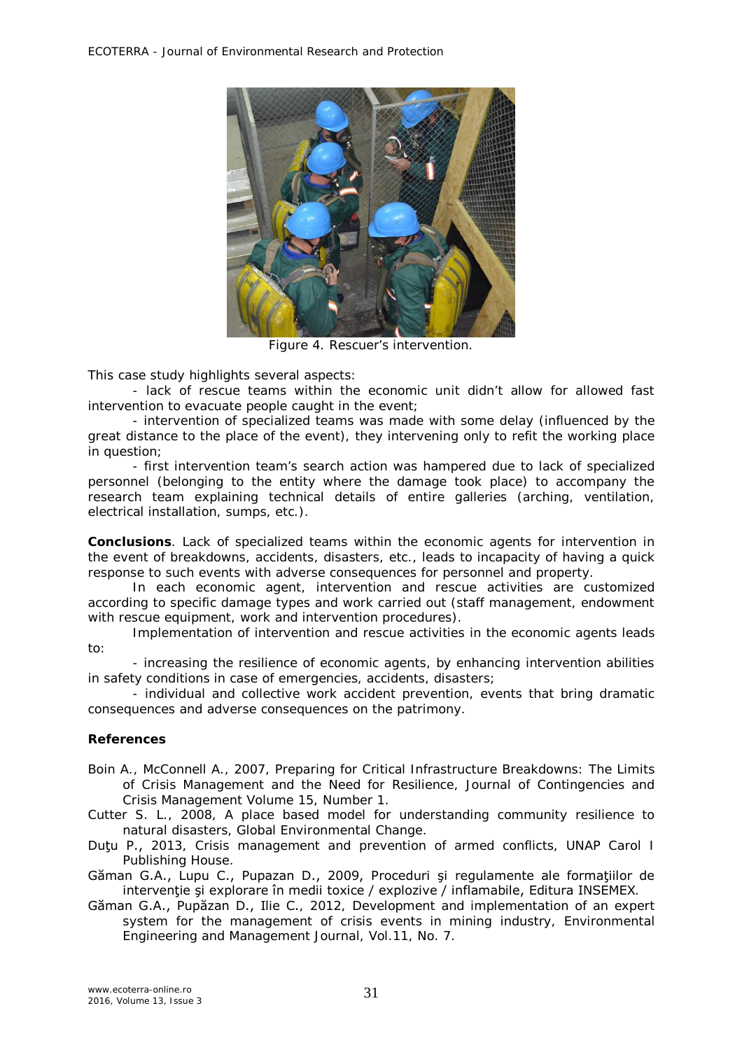

Figure 4. Rescuer's intervention.

This case study highlights several aspects:

- lack of rescue teams within the economic unit didn't allow for allowed fast intervention to evacuate people caught in the event;

- intervention of specialized teams was made with some delay (influenced by the great distance to the place of the event), they intervening only to refit the working place in question;

- first intervention team's search action was hampered due to lack of specialized personnel (belonging to the entity where the damage took place) to accompany the research team explaining technical details of entire galleries (arching, ventilation, electrical installation, sumps, etc.).

**Conclusions**. Lack of specialized teams within the economic agents for intervention in the event of breakdowns, accidents, disasters, etc., leads to incapacity of having a quick response to such events with adverse consequences for personnel and property.

In each economic agent, intervention and rescue activities are customized according to specific damage types and work carried out (staff management, endowment with rescue equipment, work and intervention procedures).

Implementation of intervention and rescue activities in the economic agents leads to:

- increasing the resilience of economic agents, by enhancing intervention abilities in safety conditions in case of emergencies, accidents, disasters;

- individual and collective work accident prevention, events that bring dramatic consequences and adverse consequences on the patrimony.

## **References**

- Boin A., McConnell A., 2007, Preparing for Critical Infrastructure Breakdowns: The Limits of Crisis Management and the Need for Resilience, Journal of Contingencies and Crisis Management Volume 15, Number 1.
- Cutter S. L., 2008, A place based model for understanding community resilience to natural disasters, Global Environmental Change.
- Dutu P., 2013, Crisis management and prevention of armed conflicts, UNAP Carol I Publishing House.
- Găman G.A., Lupu C., Pupazan D., 2009, Proceduri şi regulamente ale formaţiilor de intervenție și explorare în medii toxice / explozive / inflamabile, Editura INSEMEX.
- Găman G.A., Pupăzan D., Ilie C., 2012, Development and implementation of an expert system for the management of crisis events in mining industry, Environmental Engineering and Management Journal, Vol.11, No. 7.